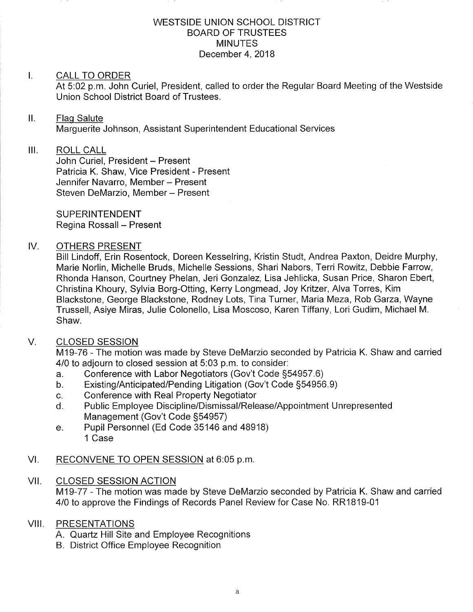#### WESTSIDE UNION SCHOOL DISTRICT BOARD OF TRUSTEES MINUTES December 4, 2018

#### $\mathbf{I}$ . CALL TO ORDER

At 5:02 p.m. John Curiel, President, called to order the Regular Board Meeting of the Westside Union School District Board of Trustees.

#### $II.$ Flaq Salute

Marquerite Johnson, Assistant Superintendent Educational Services

## III. ROLL CALL

John Curiel, President - Present Patricia K. Shaw, Vice President - Present Jennifer Navarro, Member - Present Steven DeMarzio, Member - Present

**SUPERINTENDENT** Regina Rossall - Present

## IV. OTHERS PRESENT

Bill Lindoff, Erin Rosentock, Doreen Kesselring, Kristin Studt, Andrea Paxton, Deidre Murphy, Marie Norlin, Michelle Bruds, Michelle Sessions, Shari Nabors, Terri Rowitz, Debbie Farrow, Rhonda Hanson, Courtney Phelan, Jeri Gonzalez, Lisa Jehlicka, Susan Price, Sharon Ebert, Christina Khoury, Sylvia Borg-Otting, Kerry Longmead, Joy Kritzer, Alva Torres, Kim Blackstone, George Blackstone, Rodney Lots, Tina Turner, Maria Meza, Rob Garza, Wayne Trussell, Asiye Miras, Julie Colonello, Lisa Moscoso, Karen Tiffany, Lori Gudim, Michael M. Shaw.

#### CLOSED SESSION V

M19-76 - The motion was made by Steve DeMarzio seconded by Patricia K. Shaw and carried 4/0 to adjourn to closed session at 5:03 p.m. to consider:

- 
- a. Conference with Labor Negotiators (Gov't Code §54957.6)<br>b. Existing/Anticipated/Pending Litigation (Gov't Code §54956.9)<br>c. Conference with Real Property Negotiator
- 
- c. Conference with Real Property Negotiator<br>d. Public Employee Discipline/Dismissal/Release/Appointment Unrepresented<br>Management (Gov't Code §54957)
- e. Pupil Personnel (Ed Code 35146 and 48918) 1 Case

## Vl. RECONVENE TO OPEN SESSION at 6:05 p.m

## VII. CLOSED SESSION ACTION M19-77 - The motion was made by Steve DeMarzio seconded by Patricia K. Shaw and carried 4/0 to approve the Findings of Records Panel Review for Case No. RR1819-01

## VIII. PRESENTATIONS

- A. Quartz Hill Site and Employee Recognitions
- B. District Office Employee Recognition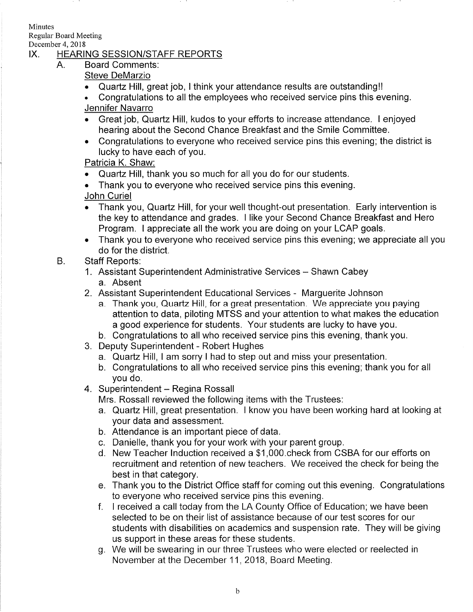**Minutes** Regular Board Meeting

# December 4, 2018<br>IX. HEARING SESSION/STAFF REPORTS

- A. Board Comments:
	- Steve DeMarzio
	- Quartz Hill, great job, I think your attendance results are outstanding!!
	- . Congratulations to all the employees who received service pins this evening Jennifer Navarro
	- . Great job, Quartz Hill, kudos to your efforts to increase attendance. I enjoyed hearing about the Second Chance Breakfast and the Smile Committee.
	- . Congratulations to everyone who received service pins this evening; the district is lucky to have each of you.

Patricia K. Shaw:

- Quartz Hill, thank you so much for all you do for our students.
- . Thank you to everyone who received service pins this evening. John Curiel
- . Thank you, Quartz Hill, for your well thought-out presentation. Early intervention is the key to attendance and grades. I like your Second Chance Breakfast and Hero Program. I appreciate all the work you are doing on your LCAP goals.
- . Thank you to everyone who received service pins this evening; we appreciate all you do for the district.
- B. Staff Reports:
	- 1. Assistant Superintendent Administrative Services Shawn Cabey a. Absent
	- 2. Assistant Superintendent Educational Services Marguerite Johnson
		- a. Thank you, Quartz Hill, for a great presentation. We appreciate you paying attention to data, piloting MTSS and your attention to what makes the education a good experience for students. Your students are lucky to have you.
		- b. Congratulations to all who received service pins this evening, thank you.
	- 3. Deputy Superintendent Robert Hughes
		- a. Quartz Hill, I am sorry I had to step out and miss your presentation.
		- b. Congratulations to all who received service pins this evening; thank you for all you do.
	- 4. Superintendent Regina Rossall

Mrs. Rossall reviewed the following items with the Trustees:

- a. Quartz Hill, great presentation. I know you have been working hard at looking at your data and assessment.
- b. Attendance is an important piece of data.
- c. Danielle, thank you for your work with your parent group.
- d. New Teacher lnduction received a \$1,000.check from CSBA for our efforts on recruitment and retention of new teachers. We received the check for being the best in that category.
- e. Thank you to the District Office staff for coming out this evening. Congratulations
- to everyone who received service pins this evening. f. I received a call today from the LA County Office of Education; we have been selected to be on their list of assistance because of our test scores for our students with disabilities on academics and suspension rate. They will be giving us support in these areas for these students.
- g. We will be swearing in our three Trustees who were elected or reelected in November at the December 11,2018, Board Meeting.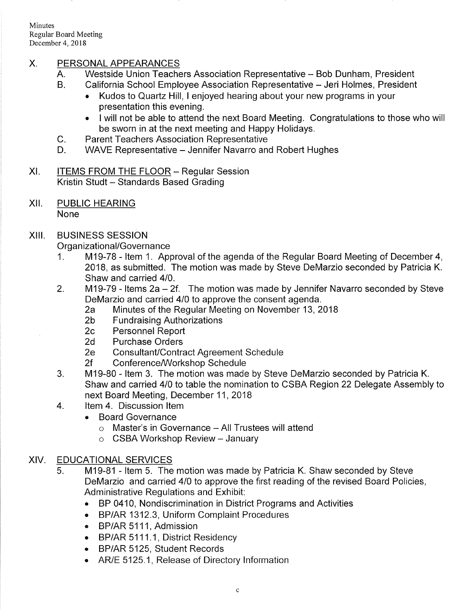Minutes Regular Board Meeting December 4, 2018

# X. PERSONAL APPEARANCES

- A. Westside Union Teachers Association Representative - Bob Dunham, President
- B. California School Employee Association Representative - Jeri Holmes, President
	- . Kudos to Quartz Hill, I enjoyed hearing about your new programs in your presentation this evening.
	- . I will not be able to attend the next Board Meeting. Congratulations to those who will be sworn in at the next meeting and Happy Holidays.
- Parent Teachers Association Representative  $C_{\cdot}$
- WAVE Representative Jennifer Navarro and Robert Hughes  $D_{\cdot}$
- XI. ITEMS FROM THE FLOOR Regular Session Kristin Studt - Standards Based Grading
- xil PUBLIC HEARING None

# XIII. BUSINESS SESSION

- Organizational/Governance<br>1. M19-78 Item 1. Approval of the agenda of the Regular Board Meeting of December 4, 2018, as submitted. The motion was made by Steve DeMarzio seconded by Patricia K. Shaw and carried 410.
- 2. M19-79 Items 2a 2f. The motion was made by Jennifer Navarro seconded by Steve<br>DeMarzio and carried 4/0 to approve the consent agenda.
	- Pearl Minutes of the Regular Meeting on November 13, 2018<br>2b Fundraising Authorizations<br>2c Personnel Report<br>2d Purchase Orders
	-
	-
	-
	-
	-
- 2e Consultant/Contract Agreement Schedule<br>2f Conference/Workshop Schedule<br>3. M19-80 Item 3. The motion was made by Steve DeMarzio seconded by Patricia K. Shaw and carried 410 to table the nomination to CSBA Region 22 Delegate Assembly to next Board Meeting, December 11,2018 4. ltem 4. Discussion ltem
	- - . Board Governance
			- $\circ$  Master's in Governance All Trustees will attend
			- $\circ$  CSBA Workshop Review January

## XIV. EDUCATIONAL SERVICES

- 5. M19-81 ltem 5. The motion was made by Patricia K. Shaw seconded by Steve DeMarzio and carried 410 to approve the first reading of the revised Board Policies, Administrative Regulations and Exhibit:
	- . BP 0410, Nondiscrimination in District Programs and Activities
	- . BP/AR 1312.3, Uniform Complaint Procedures
	- o BP/AR 5111, Admission
	- BP/AR 5111.1, District Residency
	- . BP/AR 5125, Student Records
	- . AR/E 5125.1, Release of Directory lnformation